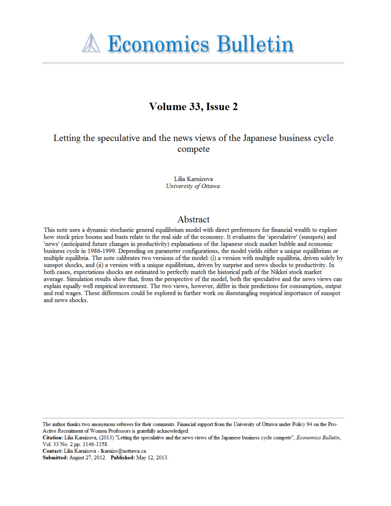

# Volume 33, Issue 2

Letting the speculative and the news views of the Japanese business cycle compete

> Lilia Karnizova University of Ottawa

### Abstract

This note uses a dynamic stochastic general equilibrium model with direct preferences for financial wealth to explore how stock price booms and busts relate to the real side of the economy. It evaluates the 'speculative' (sunspots) and 'news' (anticipated future changes in productivity) explanations of the Japanese stock market bubble and economic business cycle in 1986-1999. Depending on parameter configurations, the model yields either a unique equilibrium or multiple equilibria. The note calibrates two versions of the model: (i) a version with multiple equilibria, driven solely by sunspot shocks, and (ii) a version with a unique equilibrium, driven by surprise and news shocks to productivity. In both cases, expectations shocks are estimated to perfectly match the historical path of the Nikkei stock market average. Simulation results show that, from the perspective of the model, both the speculative and the news views can explain equally well empirical investment. The two views, however, differ in their predictions for consumption, output and real wages. These differences could be explored in further work on disentangling empirical importance of sunspot and news shocks.

The author thanks two anonymous referees for their comments. Financial support from the University of Ottawa under Policy 94 on the Pro-Active Recruitment of Women Professors is gratefully acknowledged.

Citation: Lilia Karnizova, (2013) "Letting the speculative and the news views of the Japanese business cycle compete", *Economics Bulletin*, Vol. 33 No. 2 pp. 1146-1158.

Contact: Lilia Karnizova - Ikarnizo@uottawa.ca.

Submitted: August 27, 2012. Published: May 12, 2013.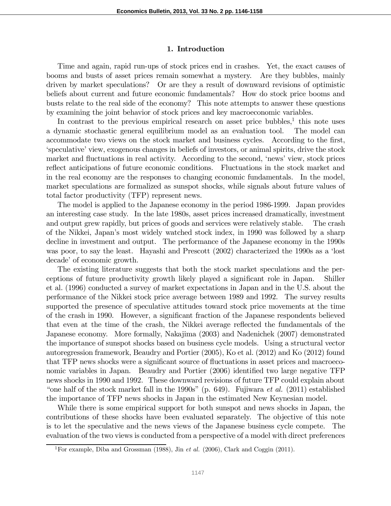#### 1. Introduction

Time and again, rapid run-ups of stock prices end in crashes. Yet, the exact causes of booms and busts of asset prices remain somewhat a mystery. Are they bubbles, mainly driven by market speculations? Or are they a result of downward revisions of optimistic beliefs about current and future economic fundamentals? How do stock price booms and busts relate to the real side of the economy? This note attempts to answer these questions by examining the joint behavior of stock prices and key macroeconomic variables.

In contrast to the previous empirical research on asset price bubbles, $<sup>1</sup>$  this note uses</sup> a dynamic stochastic general equilibrium model as an evaluation tool. The model can accommodate two views on the stock market and business cycles. According to the first, 'speculative' view, exogenous changes in beliefs of investors, or animal spirits, drive the stock market and fluctuations in real activity. According to the second, 'news' view, stock prices reflect anticipations of future economic conditions. Fluctuations in the stock market and in the real economy are the responses to changing economic fundamentals. In the model, market speculations are formalized as sunspot shocks, while signals about future values of total factor productivity (TFP) represent news.

The model is applied to the Japanese economy in the period 1986-1999. Japan provides an interesting case study. In the late 1980s, asset prices increased dramatically, investment and output grew rapidly, but prices of goods and services were relatively stable. The crash of the Nikkei, Japan's most widely watched stock index, in 1990 was followed by a sharp decline in investment and output. The performance of the Japanese economy in the 1990s was poor, to say the least. Hayashi and Prescott (2002) characterized the 1990s as a 'lost decade' of economic growth.

The existing literature suggests that both the stock market speculations and the perceptions of future productivity growth likely played a significant role in Japan. Shiller et al. (1996) conducted a survey of market expectations in Japan and in the U.S. about the performance of the Nikkei stock price average between 1989 and 1992. The survey results supported the presence of speculative attitudes toward stock price movements at the time of the crash in 1990. However, a significant fraction of the Japanese respondents believed that even at the time of the crash, the Nikkei average reflected the fundamentals of the Japanese economy. More formally, Nakajima (2003) and Nadenichek (2007) demonstrated the importance of sunspot shocks based on business cycle models. Using a structural vector autoregression framework, Beaudry and Portier (2005), Ko et al. (2012) and Ko (2012) found that TFP news shocks were a significant source of fluctuations in asset prices and macroeconomic variables in Japan. Beaudry and Portier (2006) identified two large negative TFP news shocks in 1990 and 1992. These downward revisions of future TFP could explain about "one half of the stock market fall in the 1990s" (p. 649). Fujiwara *et al.* (2011) established the importance of TFP news shocks in Japan in the estimated New Keynesian model.

While there is some empirical support for both sunspot and news shocks in Japan, the contributions of these shocks have been evaluated separately. The objective of this note is to let the speculative and the news views of the Japanese business cycle compete. The evaluation of the two views is conducted from a perspective of a model with direct preferences

<sup>1</sup>For example, Diba and Grossman (1988), Jin *et al.* (2006), Clark and Coggin (2011).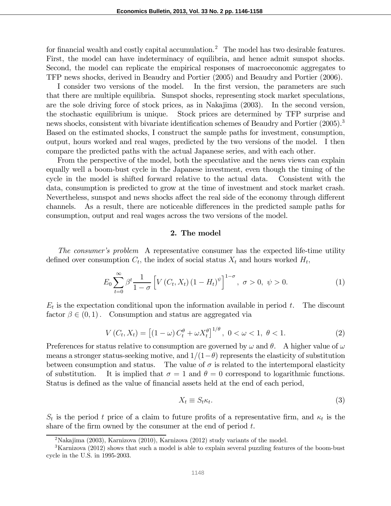for financial wealth and costly capital accumulation.<sup>2</sup> The model has two desirable features. First, the model can have indeterminacy of equilibria, and hence admit sunspot shocks. Second, the model can replicate the empirical responses of macroeconomic aggregates to TFP news shocks, derived in Beaudry and Portier (2005) and Beaudry and Portier (2006).

I consider two versions of the model. In the first version, the parameters are such that there are multiple equilibria. Sunspot shocks, representing stock market speculations, are the sole driving force of stock prices, as in Nakajima (2003). In the second version, the stochastic equilibrium is unique. Stock prices are determined by TFP surprise and news shocks, consistent with bivariate identification schemes of Beaudry and Portier (2005).<sup>3</sup> Based on the estimated shocks, I construct the sample paths for investment, consumption, output, hours worked and real wages, predicted by the two versions of the model. I then compare the predicted paths with the actual Japanese series, and with each other.

From the perspective of the model, both the speculative and the news views can explain equally well a boom-bust cycle in the Japanese investment, even though the timing of the cycle in the model is shifted forward relative to the actual data. Consistent with the data, consumption is predicted to grow at the time of investment and stock market crash. Nevertheless, sunspot and news shocks affect the real side of the economy through different channels. As a result, there are noticeable differences in the predicted sample paths for consumption, output and real wages across the two versions of the model.

#### 2. The model

*The consumer*'*s problem* A representative consumer has the expected life-time utility defined over consumption  $C_t$ , the index of social status  $X_t$  and hours worked  $H_t$ ,

$$
E_0 \sum_{t=0}^{\infty} \beta^t \frac{1}{1-\sigma} \left[ V(C_t, X_t) (1 - H_t)^{\psi} \right]^{1-\sigma}, \ \sigma > 0, \ \psi > 0. \tag{1}
$$

 $E_t$  is the expectation conditional upon the information available in period t. The discount factor  $\beta \in (0, 1)$ . Consumption and status are aggregated via

$$
V(C_t, X_t) = [(1 - \omega) C_t^{\theta} + \omega X_t^{\theta}]^{1/\theta}, \ 0 < \omega < 1, \ \theta < 1.
$$
 (2)

Preferences for status relative to consumption are governed by  $\omega$  and  $\theta$ . A higher value of  $\omega$ means a stronger status-seeking motive, and  $1/(1-\theta)$  represents the elasticity of substitution between consumption and status. The value of  $\sigma$  is related to the intertemporal elasticity of substitution. It is implied that  $\sigma = 1$  and  $\theta = 0$  correspond to logarithmic functions. Status is defined as the value of financial assets held at the end of each period,

$$
X_t \equiv S_t \kappa_t. \tag{3}
$$

 $S_t$  is the period t price of a claim to future profits of a representative firm, and  $\kappa_t$  is the share of the firm owned by the consumer at the end of period  $t$ .

<sup>&</sup>lt;sup>2</sup>Nakajima (2003), Karnizova (2010), Karnizova (2012) study variants of the model.

<sup>&</sup>lt;sup>3</sup>Karnizova (2012) shows that such a model is able to explain several puzzling features of the boom-bust cycle in the U.S. in 1995-2003.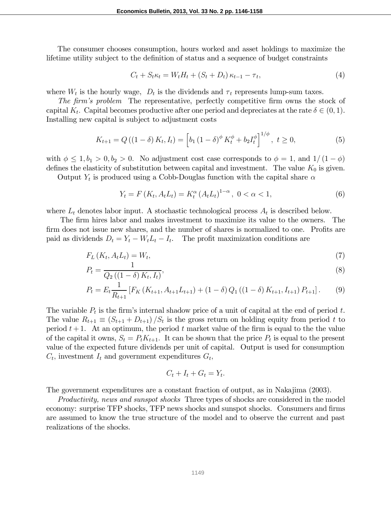The consumer chooses consumption, hours worked and asset holdings to maximize the lifetime utility subject to the definition of status and a sequence of budget constraints

$$
C_t + S_t \kappa_t = W_t H_t + (S_t + D_t) \kappa_{t-1} - \tau_t,
$$
\n
$$
\tag{4}
$$

where  $W_t$  is the hourly wage,  $D_t$  is the dividends and  $\tau_t$  represents lump-sum taxes.

*The* firm's problem The representative, perfectly competitive firm owns the stock of capital  $K_t$ . Capital becomes productive after one period and depreciates at the rate  $\delta \in (0, 1)$ . Installing new capital is subject to adjustment costs

$$
K_{t+1} = Q((1 - \delta) K_t, I_t) = \left[ b_1 (1 - \delta)^{\phi} K_t^{\phi} + b_2 I_t^{\phi} \right]^{1/\phi}, \ t \ge 0,
$$
 (5)

with  $\phi \leq 1, b_1 > 0, b_2 > 0$ . No adjustment cost case corresponds to  $\phi = 1$ , and  $1/(1 - \phi)$ defines the elasticity of substitution between capital and investment. The value  $K_0$  is given.

Output  $Y_t$  is produced using a Cobb-Douglas function with the capital share  $\alpha$ 

$$
Y_t = F(K_t, A_t L_t) = K_t^{\alpha} (A_t L_t)^{1-\alpha}, \ 0 < \alpha < 1,
$$
\n(6)

where  $L_t$  denotes labor input. A stochastic technological process  $A_t$  is described below.

The firm hires labor and makes investment to maximize its value to the owners. The firm does not issue new shares, and the number of shares is normalized to one. Profits are paid as dividends  $D_t = Y_t - W_t L_t - I_t$ . The profit maximization conditions are

$$
F_L\left(K_t, A_t L_t\right) = W_t,\tag{7}
$$

$$
P_t = \frac{1}{Q_2\left(\left(1-\delta\right)K_t, I_t\right)},\tag{8}
$$

$$
P_t = E_t \frac{1}{R_{t+1}} \left[ F_K \left( K_{t+1}, A_{t+1} L_{t+1} \right) + (1 - \delta) Q_1 \left( (1 - \delta) K_{t+1}, I_{t+1} \right) P_{t+1} \right]. \tag{9}
$$

The variable  $P_t$  is the firm's internal shadow price of a unit of capital at the end of period t. The value  $R_{t+1} \equiv (S_{t+1} + D_{t+1})/S_t$  is the gross return on holding equity from period t to period  $t+1$ . At an optimum, the period  $t$  market value of the firm is equal to the the value of the capital it owns,  $S_t = P_t K_{t+1}$ . It can be shown that the price  $P_t$  is equal to the present value of the expected future dividends per unit of capital. Output is used for consumption  $C_t$ , investment  $I_t$  and government expenditures  $G_t$ ,

$$
C_t + I_t + G_t = Y_t.
$$

The government expenditures are a constant fraction of output, as in Nakajima (2003).

*Productivity, news and sunspot shocks* Three types of shocks are considered in the model economy: surprise TFP shocks, TFP news shocks and sunspot shocks. Consumers and firms are assumed to know the true structure of the model and to observe the current and past realizations of the shocks.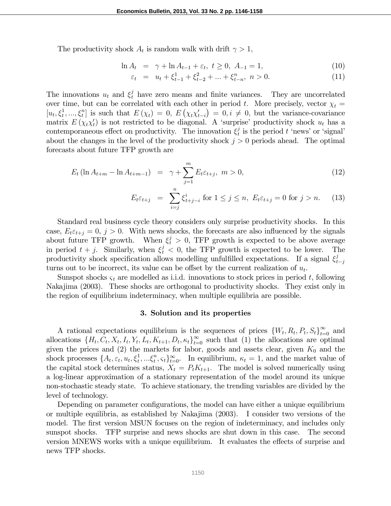The productivity shock  $A_t$  is random walk with drift  $\gamma > 1$ ,

$$
\ln A_t = \gamma + \ln A_{t-1} + \varepsilon_t, \ t \ge 0, \ A_{-1} = 1,\tag{10}
$$

$$
\varepsilon_t = u_t + \xi_{t-1}^1 + \xi_{t-2}^2 + \dots + \xi_{t-n}^n, \ n > 0. \tag{11}
$$

The innovations  $u_t$  and  $\xi_t^j$  have zero means and finite variances. They are uncorrelated over time, but can be correlated with each other in period t. More precisely, vector  $\chi_t =$  $[u_t, \xi_t^1, ..., \xi_t^n]$  is such that  $E(\chi_t) = 0$ ,  $E(\chi_t \chi_{t-i}') = 0, i \neq 0$ , but the variance-covariance matrix  $E(\chi_t \chi_t')$  is not restricted to be diagonal. A 'surprise' productivity shock  $u_t$  has a contemporaneous effect on productivity. The innovation  $\xi_t^j$  $\frac{1}{t}$  is the period  $t$  'news' or 'signal' about the changes in the level of the productivity shock  $j > 0$  periods ahead. The optimal forecasts about future TFP growth are

$$
E_t \left( \ln A_{t+m} - \ln A_{t+m-1} \right) = \gamma + \sum_{j=1}^m E_t \varepsilon_{t+j}, \ m > 0, \tag{12}
$$

$$
E_{t}\varepsilon_{t+j} = \sum_{i=j}^{n} \xi_{t+j-i}^{i} \text{ for } 1 \le j \le n, \ E_{t}\varepsilon_{t+j} = 0 \text{ for } j > n. \tag{13}
$$

Standard real business cycle theory considers only surprise productivity shocks. In this case,  $E_t \varepsilon_{t+j} = 0$ ,  $j > 0$ . With news shocks, the forecasts are also influenced by the signals about future TFP growth. When  $\xi_t^j > 0$ , TFP growth is expected to be above average in period  $t + j$ . Similarly, when  $\xi_t^j < 0$ , the TFP growth is expected to be lower. The productivity shock specification allows modelling unfulfilled expectations. If a signal  $\xi_t^j$  $t-j$ turns out to be incorrect, its value can be offset by the current realization of  $u_t$ .

Sunspot shocks  $\varsigma_t$  are modelled as i.i.d. innovations to stock prices in period t, following Nakajima (2003). These shocks are orthogonal to productivity shocks. They exist only in the region of equilibrium indeterminacy, when multiple equilibria are possible.

#### 3. Solution and its properties

A rational expectations equilibrium is the sequences of prices  $\{W_t, R_t, P_t, S_t\}_{t=0}^{\infty}$  and allocations  $\{H_t, C_t, X_t, I_t, Y_t, L_t, K_{t+1}, D_t, \kappa_t\}_{t=0}^{\infty}$  such that (1) the allocations are optimal given the prices and  $(2)$  the markets for labor, goods and assets clear, given  $K_0$  and the shock processes  $\{A_t, \varepsilon_t, u_t, \xi_t^1, \dots, \xi_t^n, \varsigma_t\}_{t=0}^{\infty}$ . In equilibrium,  $\kappa_t = 1$ , and the market value of the capital stock determines status,  $X_t = P_t K_{t+1}$ . The model is solved numerically using a log-linear approximation of a stationary representation of the model around its unique non-stochastic steady state. To achieve stationary, the trending variables are divided by the level of technology.

Depending on parameter configurations, the model can have either a unique equilibrium or multiple equilibria, as established by Nakajima (2003). I consider two versions of the model. The first version MSUN focuses on the region of indeterminacy, and includes only sunspot shocks. TFP surprise and news shocks are shut down in this case. The second version MNEWS works with a unique equilibrium. It evaluates the effects of surprise and news TFP shocks.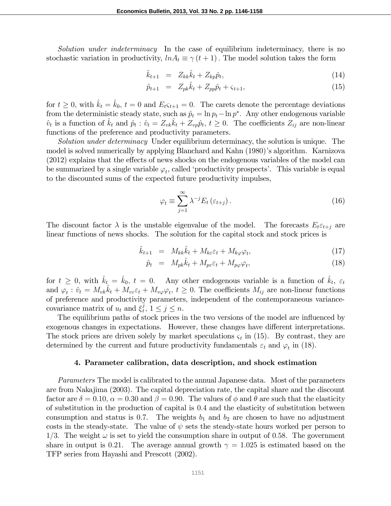*Solution under indeterminacy* In the case of equilibrium indeterminacy, there is no stochastic variation in productivity,  $ln A_t \equiv \gamma (t + 1)$ . The model solution takes the form

$$
\hat{k}_{t+1} = Z_{kk}\hat{k}_t + Z_{kp}\hat{p}_t, \tag{14}
$$

$$
\hat{p}_{t+1} = Z_{pk}\hat{k}_t + Z_{pp}\hat{p}_t + \varsigma_{t+1},\tag{15}
$$

for  $t \geq 0$ , with  $k_t = k_0$ ,  $t = 0$  and  $E_{t}$   $\varsigma_{t+1} = 0$ . The carets denote the percentage deviations from the deterministic steady state, such as  $\hat{p}_t = \ln p_t - \ln p^*$ . Any other endogenous variable  $\hat{v}_t$  is a function of  $\hat{k}_t$  and  $\hat{p}_t : \hat{v}_t = Z_{vk}\hat{k}_t + Z_{vp}\hat{p}_t$ ,  $t \ge 0$ . The coefficients  $Z_{ij}$  are non-linear functions of the preference and productivity parameters.

*Solution under determinacy* Under equilibrium determinacy, the solution is unique. The model is solved numerically by applying Blanchard and Kahn (1980)'s algorithm. Karnizova  $(2012)$  explains that the effects of news shocks on the endogenous variables of the model can be summarized by a single variable  $\varphi_t$ , called 'productivity prospects'. This variable is equal to the discounted sums of the expected future productivity impulses,

$$
\varphi_t \equiv \sum_{j=1}^{\infty} \lambda^{-j} E_t \left( \varepsilon_{t+j} \right). \tag{16}
$$

The discount factor  $\lambda$  is the unstable eigenvalue of the model. The forecasts  $E_t \varepsilon_{t+j}$  are linear functions of news shocks. The solution for the capital stock and stock prices is

$$
\hat{k}_{t+1} = M_{kk}\hat{k}_t + M_{k\varepsilon}\varepsilon_t + M_{k\varphi}\varphi_t, \tag{17}
$$

$$
\hat{p}_t = M_{pk}\hat{k}_t + M_{p\varepsilon}\varepsilon_t + M_{p\varphi}\varphi_t,\tag{18}
$$

for  $t \geq 0$ , with  $\hat{k}_t = \hat{k}_0$ ,  $t = 0$ . Any other endogenous variable is a function of  $\hat{k}_t$ ,  $\varepsilon_t$ and  $\varphi_t : \hat{v}_t = M_{vk} \hat{k}_t + M_{v\epsilon} \varepsilon_t + M_{v\varphi} \varphi_t, t \ge 0$ . The coefficients  $M_{ij}$  are non-linear functions of preference and productivity parameters, independent of the contemporaneous variancecovariance matrix of  $u_t$  and  $\xi_t^j$  $\frac{j}{t}, 1 \leq j \leq n.$ 

The equilibrium paths of stock prices in the two versions of the model are influenced by exogenous changes in expectations. However, these changes have different interpretations. The stock prices are driven solely by market speculations  $\varsigma_t$  in (15). By contrast, they are determined by the current and future productivity fundamentals  $\varepsilon_t$  and  $\varphi_t$  in (18).

#### 4. Parameter calibration, data description, and shock estimation

*Parameters* The model is calibrated to the annual Japanese data. Most of the parameters are from Nakajima (2003). The capital depreciation rate, the capital share and the discount factor are  $\delta = 0.10$ ,  $\alpha = 0.30$  and  $\beta = 0.90$ . The values of  $\phi$  and  $\theta$  are such that the elasticity of substitution in the production of capital is 04 and the elasticity of substitution between consumption and status is 0.7. The weights  $b_1$  and  $b_2$  are chosen to have no adjustment costs in the steady-state. The value of  $\psi$  sets the steady-state hours worked per person to 1/3. The weight  $\omega$  is set to yield the consumption share in output of 0.58. The government share in output is 0.21. The average annual growth  $\gamma = 1.025$  is estimated based on the TFP series from Hayashi and Prescott (2002).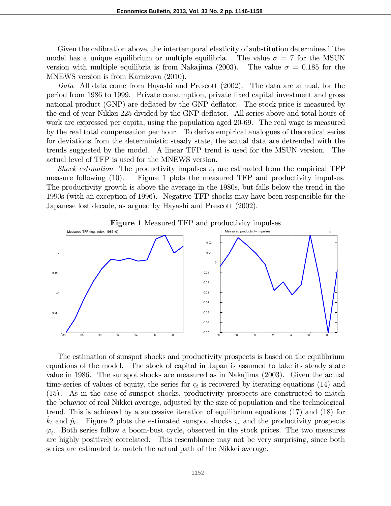Given the calibration above, the intertemporal elasticity of substitution determines if the model has a unique equilibrium or multiple equilibria. The value  $\sigma = 7$  for the MSUN version with multiple equilibria is from Nakajima (2003). The value  $\sigma = 0.185$  for the MNEWS version is from Karnizova (2010).

*Data* All data come from Hayashi and Prescott (2002). The data are annual, for the period from 1986 to 1999. Private consumption, private fixed capital investment and gross national product (GNP) are deflated by the GNP deflator. The stock price is measured by the end-of-year Nikkei 225 divided by the GNP de‡ator. All series above and total hours of work are expressed per capita, using the population aged 20-69. The real wage is measured by the real total compensation per hour. To derive empirical analogues of theoretical series for deviations from the deterministic steady state, the actual data are detrended with the trends suggested by the model. A linear TFP trend is used for the MSUN version. The actual level of TFP is used for the MNEWS version.

*Shock estimation* The productivity impulses  $\varepsilon_t$  are estimated from the empirical TFP measure following (10). Figure 1 plots the measured TFP and productivity impulses. The productivity growth is above the average in the 1980s, but falls below the trend in the 1990s (with an exception of 1996). Negative TFP shocks may have been responsible for the Japanese lost decade, as argued by Hayashi and Prescott (2002).



Figure 1 Measured TFP and productivity impulses

The estimation of sunspot shocks and productivity prospects is based on the equilibrium equations of the model. The stock of capital in Japan is assumed to take its steady state value in 1986. The sunspot shocks are measured as in Nakajima (2003). Given the actual time-series of values of equity, the series for  $\varsigma_t$  is recovered by iterating equations (14) and (15) As in the case of sunspot shocks, productivity prospects are constructed to match the behavior of real Nikkei average, adjusted by the size of population and the technological trend. This is achieved by a successive iteration of equilibrium equations (17) and (18) for  $\hat{k}_t$  and  $\hat{p}_t$ . Figure 2 plots the estimated sunspot shocks  $\varsigma_t$  and the productivity prospects  $\varphi_t$ . Both series follow a boom-bust cycle, observed in the stock prices. The two measures are highly positively correlated. This resemblance may not be very surprising, since both series are estimated to match the actual path of the Nikkei average.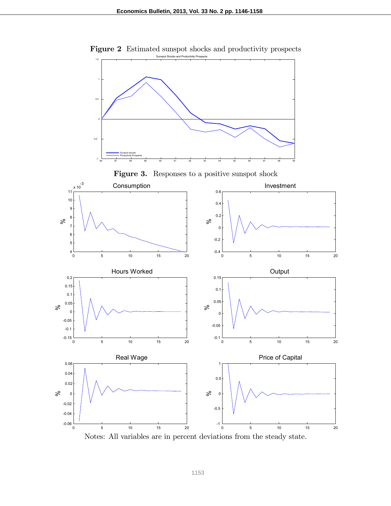

Figure 2 Estimated sunspot shocks and productivity prospects Sunspot Shocks and Productivity Prospects

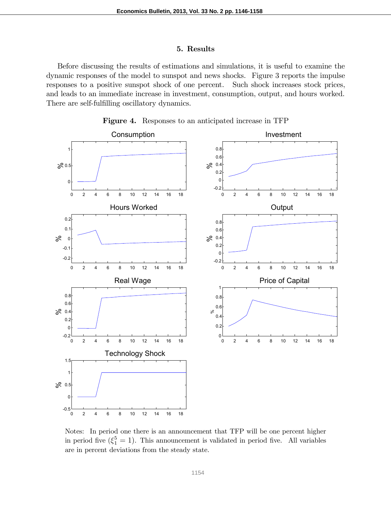#### 5. Results

Before discussing the results of estimations and simulations, it is useful to examine the dynamic responses of the model to sunspot and news shocks. Figure 3 reports the impulse responses to a positive sunspot shock of one percent. Such shock increases stock prices, and leads to an immediate increase in investment, consumption, output, and hours worked. There are self-fulfilling oscillatory dynamics.



Figure 4. Responses to an anticipated increase in TFP

Notes: In period one there is an announcement that TFP will be one percent higher in period five  $(\xi_1^5 = 1)$ . This announcement is validated in period five. All variables are in percent deviations from the steady state.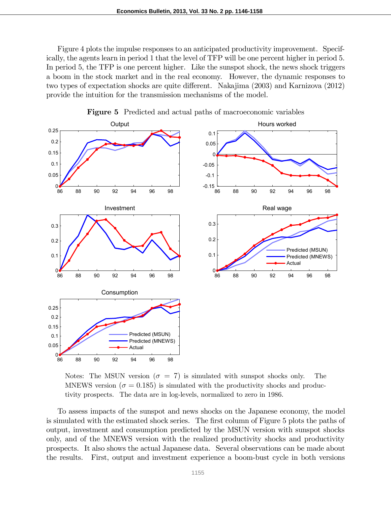Figure 4 plots the impulse responses to an anticipated productivity improvement. Specifically, the agents learn in period 1 that the level of TFP will be one percent higher in period 5. In period 5, the TFP is one percent higher. Like the sunspot shock, the news shock triggers a boom in the stock market and in the real economy. However, the dynamic responses to two types of expectation shocks are quite different. Nakajima (2003) and Karnizova (2012) provide the intuition for the transmission mechanisms of the model.



Figure 5 Predicted and actual paths of macroeconomic variables

Notes: The MSUN version  $(\sigma = 7)$  is simulated with sunspot shocks only. The MNEWS version ( $\sigma = 0.185$ ) is simulated with the productivity shocks and productivity prospects. The data are in log-levels, normalized to zero in 1986.

To assess impacts of the sunspot and news shocks on the Japanese economy, the model is simulated with the estimated shock series. The first column of Figure 5 plots the paths of output, investment and consumption predicted by the MSUN version with sunspot shocks only, and of the MNEWS version with the realized productivity shocks and productivity prospects. It also shows the actual Japanese data. Several observations can be made about the results. First, output and investment experience a boom-bust cycle in both versions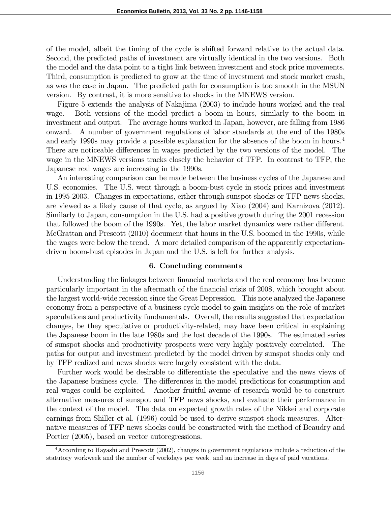of the model, albeit the timing of the cycle is shifted forward relative to the actual data. Second, the predicted paths of investment are virtually identical in the two versions. Both the model and the data point to a tight link between investment and stock price movements. Third, consumption is predicted to grow at the time of investment and stock market crash, as was the case in Japan. The predicted path for consumption is too smooth in the MSUN version. By contrast, it is more sensitive to shocks in the MNEWS version.

Figure 5 extends the analysis of Nakajima (2003) to include hours worked and the real wage. Both versions of the model predict a boom in hours, similarly to the boom in investment and output. The average hours worked in Japan, however, are falling from 1986 onward. A number of government regulations of labor standards at the end of the 1980s and early 1990s may provide a possible explanation for the absence of the boom in hours.<sup>4</sup> There are noticeable differences in wages predicted by the two versions of the model. The wage in the MNEWS versions tracks closely the behavior of TFP. In contrast to TFP, the Japanese real wages are increasing in the 1990s.

An interesting comparison can be made between the business cycles of the Japanese and U.S. economies. The U.S. went through a boom-bust cycle in stock prices and investment in 1995-2003. Changes in expectations, either through sunspot shocks or TFP news shocks, are viewed as a likely cause of that cycle, as argued by Xiao (2004) and Karnizova (2012). Similarly to Japan, consumption in the U.S. had a positive growth during the 2001 recession that followed the boom of the 1990s. Yet, the labor market dynamics were rather different. McGrattan and Prescott (2010) document that hours in the U.S. boomed in the 1990s, while the wages were below the trend. A more detailed comparison of the apparently expectationdriven boom-bust episodes in Japan and the U.S. is left for further analysis.

#### 6. Concluding comments

Understanding the linkages between financial markets and the real economy has become particularly important in the aftermath of the financial crisis of 2008, which brought about the largest world-wide recession since the Great Depression. This note analyzed the Japanese economy from a perspective of a business cycle model to gain insights on the role of market speculations and productivity fundamentals. Overall, the results suggested that expectation changes, be they speculative or productivity-related, may have been critical in explaining the Japanese boom in the late 1980s and the lost decade of the 1990s. The estimated series of sunspot shocks and productivity prospects were very highly positively correlated. The paths for output and investment predicted by the model driven by sunspot shocks only and by TFP realized and news shocks were largely consistent with the data.

Further work would be desirable to differentiate the speculative and the news views of the Japanese business cycle. The differences in the model predictions for consumption and real wages could be exploited. Another fruitful avenue of research would be to construct alternative measures of sunspot and TFP news shocks, and evaluate their performance in the context of the model. The data on expected growth rates of the Nikkei and corporate earnings from Shiller et al. (1996) could be used to derive sunspot shock measures. Alternative measures of TFP news shocks could be constructed with the method of Beaudry and Portier (2005), based on vector autoregressions.

<sup>4</sup>According to Hayashi and Prescott (2002), changes in government regulations include a reduction of the statutory workweek and the number of workdays per week, and an increase in days of paid vacations.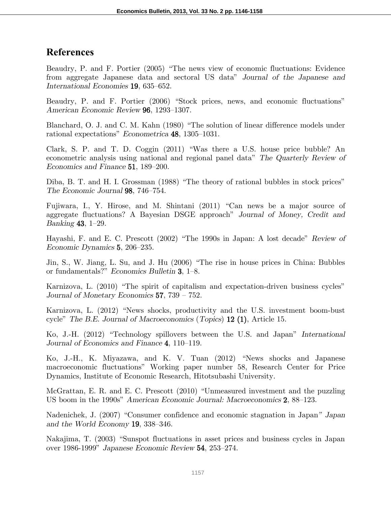## **References**

Beaudry, P. and F. Portier (2005) "The news view of economic fluctuations: Evidence from aggregate Japanese data and sectoral US data" *Journal of the Japanese and International Economies* **19**, 635–652.

Beaudry, P. and F. Portier (2006) "Stock prices, news, and economic fluctuations" *American Economic Review* **96**, 1293–1307.

Blanchard, O. J. and C. M. Kahn (1980) "The solution of linear difference models under rational expectations" *Econometrica* **48**, 1305–1031.

Clark, S. P. and T. D. Coggin (2011) "Was there a U.S. house price bubble? An econometric analysis using national and regional panel data" *The Quarterly Review of Economics and Finance* **51**, 189–200.

Diba, B. T. and H. I. Grossman (1988) "The theory of rational bubbles in stock prices" *The Economic Journal* **98**, 746–754.

Fujiwara, I., Y. Hirose, and M. Shintani (2011) "Can news be a major source of aggregate fluctuations? A Bayesian DSGE approach" *Journal of Money, Credit and Banking* **43**, 1–29.

Hayashi, F. and E. C. Prescott (2002) "The 1990s in Japan: A lost decade" *Review of Economic Dynamics* **5**, 206–235.

Jin, S., W. Jiang, L. Su, and J. Hu (2006) "The rise in house prices in China: Bubbles or fundamentals?" *Economics Bulletin* **3**, 1–8.

Karnizova, L. (2010) "The spirit of capitalism and expectation-driven business cycles" *Journal of Monetary Economics* **57**, 739 – 752.

Karnizova, L. (2012) "News shocks, productivity and the U.S. investment boom-bust cycle" *The B.E. Journal of Macroeconomics* (*Topics*) **12 (1)**, Article 15.

Ko, J.-H. (2012) "Technology spillovers between the U.S. and Japan" *International Journal of Economics and Finance* **4**, 110–119.

Ko, J.-H., K. Miyazawa, and K. V. Tuan (2012) "News shocks and Japanese macroeconomic fluctuations" Working paper number 58, Research Center for Price Dynamics, Institute of Economic Research, Hitotsubashi University.

McGrattan, E. R. and E. C. Prescott (2010) "Unmeasured investment and the puzzling US boom in the 1990s" *American Economic Journal: Macroeconomics* **2**, 88–123.

Nadenichek, J. (2007) "Consumer confidence and economic stagnation in Japan*" Japan and the World Economy* **19**, 338–346.

Nakajima, T. (2003) "Sunspot fluctuations in asset prices and business cycles in Japan over 1986-1999" *Japanese Economic Review* **54**, 253–274.